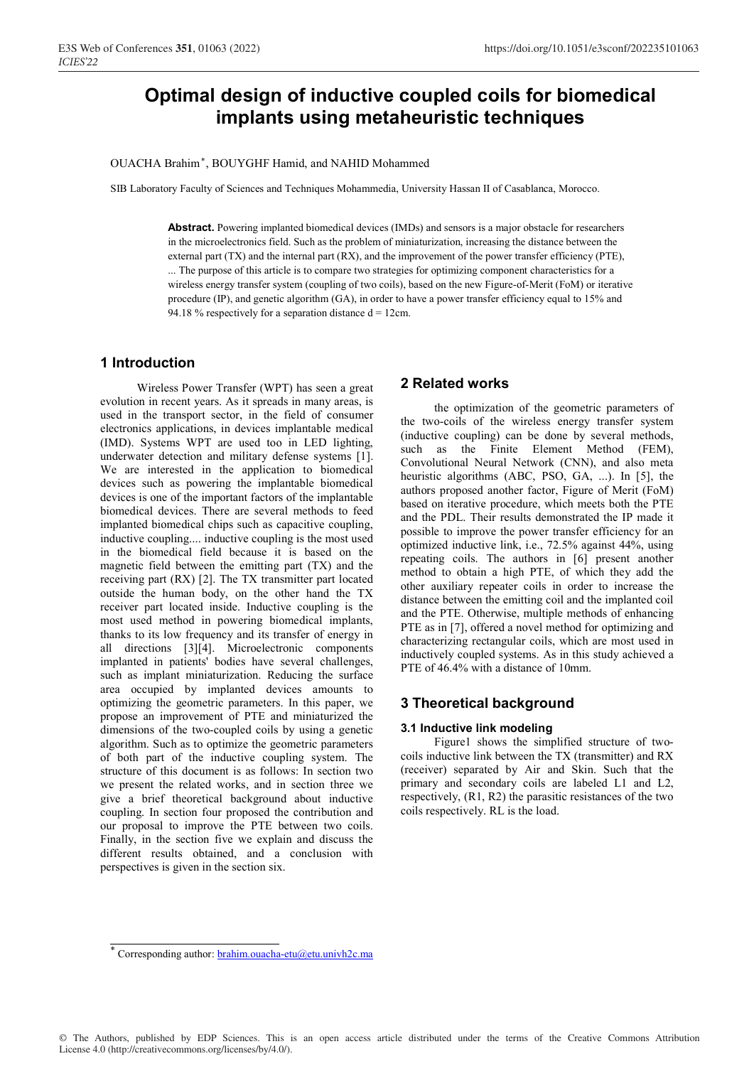# **Optimal design of inductive coupled coils for biomedical implants using metaheuristic techniques**

OUACHA Brahim , BOUYGHF Hamid, and NAHID Mohammed *\**

SIB Laboratory Faculty of Sciences and Techniques Mohammedia, University Hassan II of Casablanca, Morocco.

**Abstract.** Powering implanted biomedical devices (IMDs) and sensors is a major obstacle for researchers in the microelectronics field. Such as the problem of miniaturization, increasing the distance between the external part (TX) and the internal part (RX), and the improvement of the power transfer efficiency (PTE), ... The purpose of this article is to compare two strategies for optimizing component characteristics for a wireless energy transfer system (coupling of two coils), based on the new Figure-of-Merit (FoM) or iterative procedure (IP), and genetic algorithm (GA), in order to have a power transfer efficiency equal to 15% and 94.18 % respectively for a separation distance  $d = 12$ cm.

### **1 Introduction**

 Wireless Power Transfer (WPT) has seen a great evolution in recent years. As it spreads in many areas, is used in the transport sector, in the field of consumer electronics applications, in devices implantable medical (IMD). Systems WPT are used too in LED lighting, underwater detection and military defense systems [1]. We are interested in the application to biomedical devices such as powering the implantable biomedical devices is one of the important factors of the implantable biomedical devices. There are several methods to feed implanted biomedical chips such as capacitive coupling, inductive coupling.... inductive coupling is the most used in the biomedical field because it is based on the magnetic field between the emitting part (TX) and the receiving part (RX) [2]. The TX transmitter part located outside the human body, on the other hand the TX receiver part located inside. Inductive coupling is the most used method in powering biomedical implants, thanks to its low frequency and its transfer of energy in all directions [3][4]. Microelectronic components implanted in patients' bodies have several challenges, such as implant miniaturization. Reducing the surface area occupied by implanted devices amounts to optimizing the geometric parameters. In this paper, we propose an improvement of PTE and miniaturized the dimensions of the two-coupled coils by using a genetic algorithm. Such as to optimize the geometric parameters of both part of the inductive coupling system. The structure of this document is as follows: In section two we present the related works, and in section three we give a brief theoretical background about inductive coupling. In section four proposed the contribution and our proposal to improve the PTE between two coils. Finally, in the section five we explain and discuss the different results obtained, and a conclusion with perspectives is given in the section six.

# **2 Related works**

the optimization of the geometric parameters of the two-coils of the wireless energy transfer system (inductive coupling) can be done by several methods, such as the Finite Element Method (FEM), Convolutional Neural Network (CNN), and also meta heuristic algorithms (ABC, PSO, GA, ...). In [5], the authors proposed another factor, Figure of Merit (FoM) based on iterative procedure, which meets both the PTE and the PDL. Their results demonstrated the IP made it possible to improve the power transfer efficiency for an optimized inductive link, i.e., 72.5% against 44%, using repeating coils. The authors in [6] present another method to obtain a high PTE, of which they add the other auxiliary repeater coils in order to increase the distance between the emitting coil and the implanted coil and the PTE. Otherwise, multiple methods of enhancing PTE as in [7], offered a novel method for optimizing and characterizing rectangular coils, which are most used in inductively coupled systems. As in this study achieved a PTE of 46.4% with a distance of 10mm.

# **3 Theoretical background**

#### **3.1 Inductive link modeling**

Figure1 shows the simplified structure of twocoils inductive link between the TX (transmitter) and RX (receiver) separated by Air and Skin. Such that the primary and secondary coils are labeled L1 and L2, respectively, (R1, R2) the parasitic resistances of the two coils respectively. RL is the load.

<sup>\*</sup> Corresponding author: **brahim.ouacha-etu@etu.univh2c.ma**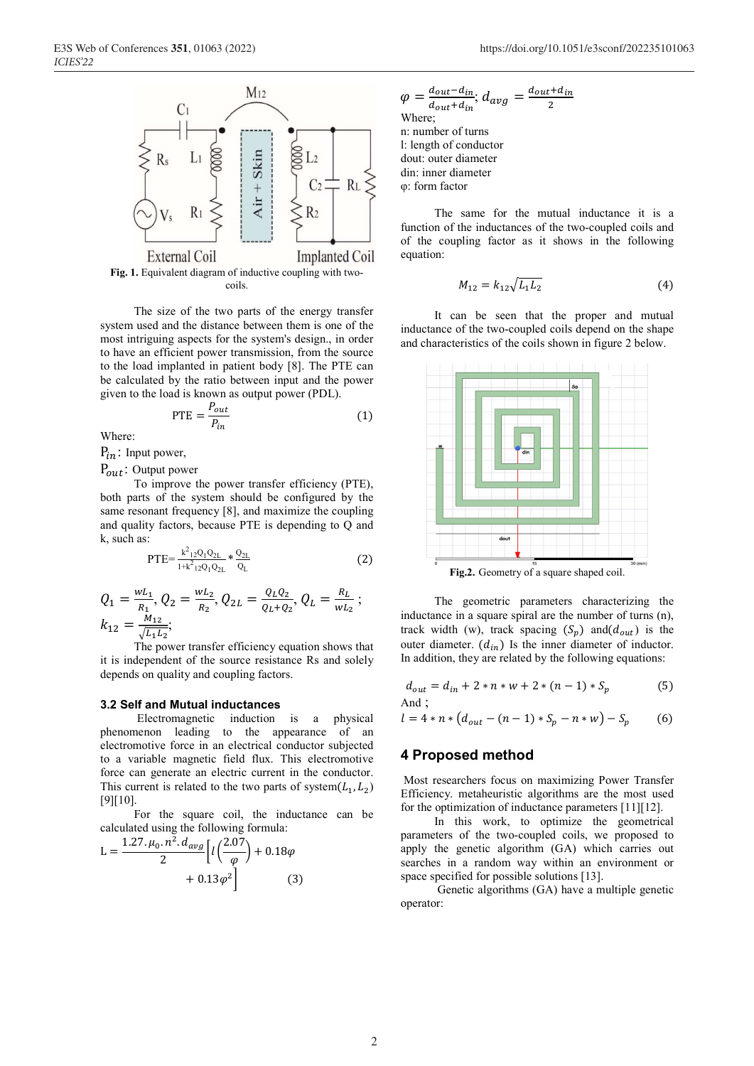

**Fig. 1.** Equivalent diagram of inductive coupling with twocoils.

The size of the two parts of the energy transfer system used and the distance between them is one of the most intriguing aspects for the system's design., in order to have an efficient power transmission, from the source to the load implanted in patient body [8]. The PTE can be calculated by the ratio between input and the power given to the load is known as output power (PDL).

$$
PTE = \frac{P_{out}}{P_{in}} \tag{1}
$$

Where:

 $P_{in}$ : Input power,

 $P_{out}$ : Output power

To improve the power transfer efficiency (PTE), both parts of the system should be configured by the same resonant frequency [8], and maximize the coupling and quality factors, because PTE is depending to Q and k, such as:

$$
PTE = \frac{k^2_{12}Q_1Q_{2L}}{1 + k^2_{12}Q_1Q_{2L}} * \frac{Q_{2L}}{Q_L}
$$
 (2)

$$
Q_1 = \frac{w_{L_1}}{R_1}, Q_2 = \frac{w_{L_2}}{R_2}, Q_{2L} = \frac{Q_L Q_2}{Q_L + Q_2}, Q_L = \frac{R_L}{w_{L_2}};
$$
  

$$
k_{12} = \frac{M_{12}}{\sqrt{L_1 L_2}};
$$

The power transfer efficiency equation shows that it is independent of the source resistance Rs and solely depends on quality and coupling factors.

#### **3.2 Self and Mutual inductances**

 Electromagnetic induction is a physical phenomenon leading to the appearance of an electromotive force in an electrical conductor subjected to a variable magnetic field flux. This electromotive force can generate an electric current in the conductor. This current is related to the two parts of system( $L_1, L_2$ ) [9][10].

For the square coil, the inductance can be calculated using the following formula:

$$
L = \frac{1.27 \cdot \mu_0 \cdot n^2 \cdot d_{avg}}{2} \left[ l \left( \frac{2.07}{\varphi} \right) + 0.18 \varphi + 0.13 \varphi^2 \right]
$$
 (3)

$$
\varphi = \frac{d_{out} - d_{in}}{d_{out} + d_{in}}; d_{avg} = \frac{d_{out} + d_{in}}{2}
$$
  
Where;  
n: number of turns  
1: length of conductor  
double to the number of  
unit: outer diameter  
in: inner diameter  
 $\varphi$ : form factor

The same for the mutual inductance it is a function of the inductances of the two-coupled coils and of the coupling factor as it shows in the following equation:

$$
M_{12} = k_{12} \sqrt{L_1 L_2} \tag{4}
$$

It can be seen that the proper and mutual inductance of the two-coupled coils depend on the shape and characteristics of the coils shown in figure 2 below.



**Fig.2.** Geometry of a square shaped coil.

The geometric parameters characterizing the inductance in a square spiral are the number of turns (n), track width (w), track spacing  $(S_p)$  and $(d_{out})$  is the outer diameter.  $(d_{in})$  Is the inner diameter of inductor. In addition, they are related by the following equations:

$$
d_{out} = d_{in} + 2 * n * w + 2 * (n - 1) * S_p
$$
 (5)  
And :

$$
l = 4 * n * (d_{out} - (n-1) * S_p - n * w) - S_p \tag{6}
$$

### **4 Proposed method**

 Most researchers focus on maximizing Power Transfer Efficiency. metaheuristic algorithms are the most used for the optimization of inductance parameters [11][12].

In this work, to optimize the geometrical parameters of the two-coupled coils, we proposed to apply the genetic algorithm (GA) which carries out searches in a random way within an environment or space specified for possible solutions [13].

 Genetic algorithms (GA) have a multiple genetic operator: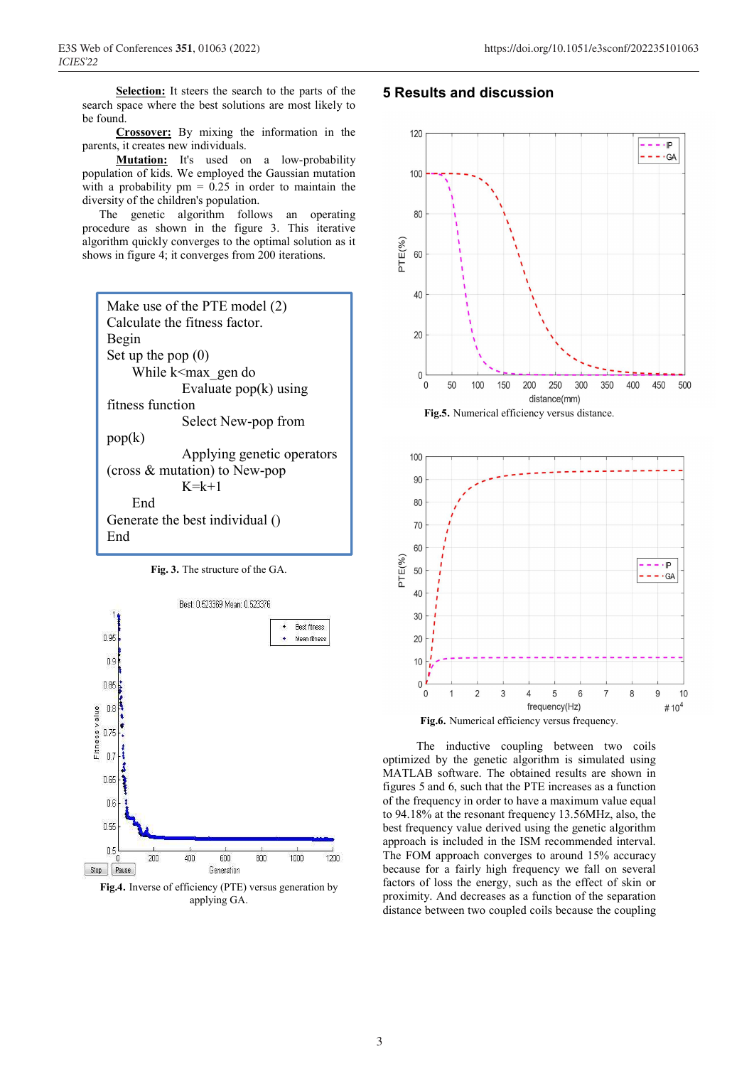**Selection:** It steers the search to the parts of the search space where the best solutions are most likely to be found.

**Crossover:** By mixing the information in the parents, it creates new individuals.

**Mutation:** It's used on a low-probability population of kids. We employed the Gaussian mutation with a probability  $pm = 0.25$  in order to maintain the diversity of the children's population.

The genetic algorithm follows an operating procedure as shown in the figure 3. This iterative algorithm quickly converges to the optimal solution as it shows in figure 4; it converges from 200 iterations.



**Fig. 3.** The structure of the GA.



**Fig.4.** Inverse of efficiency (PTE) versus generation by applying GA.

### **5 Results and discussion**







The inductive coupling between two coils optimized by the genetic algorithm is simulated using MATLAB software. The obtained results are shown in figures 5 and 6, such that the PTE increases as a function of the frequency in order to have a maximum value equal to 94.18% at the resonant frequency 13.56MHz, also, the best frequency value derived using the genetic algorithm approach is included in the ISM recommended interval. The FOM approach converges to around 15% accuracy because for a fairly high frequency we fall on several factors of loss the energy, such as the effect of skin or proximity. And decreases as a function of the separation distance between two coupled coils because the coupling